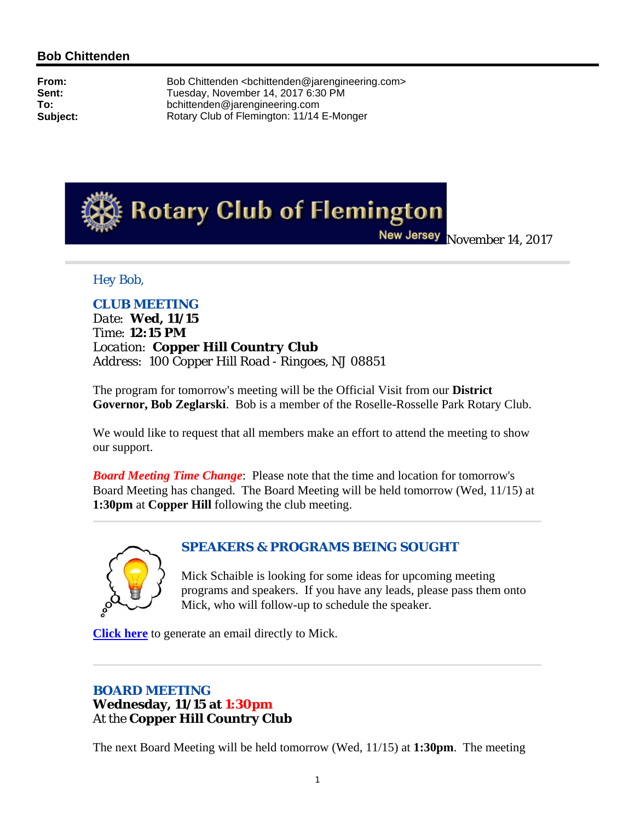## **Bob Chittenden**

**From:** Bob Chittenden <bchittenden@jarengineering.com><br> **Sent:** Tuesday. November 14, 2017 6:30 PM **Sent:** Tuesday, November 14, 2017 6:30 PM<br>
To: bchittenden@iarengineering.com **To:** bchittenden@jarengineering.com **Subject:** Rotary Club of Flemington: 11/14 E-Monger



New Jersey November 14, 2017

### *Hey Bob,*

*CLUB MEETING Date: Wed, 11/15 Time: 12:15 PM Location: Copper Hill Country Club Address: 100 Copper Hill Road - Ringoes, NJ 08851*

The program for tomorrow's meeting will be the Official Visit from our **District Governor, Bob Zeglarski**. Bob is a member of the Roselle-Rosselle Park Rotary Club.

We would like to request that all members make an effort to attend the meeting to show our support.

*Board Meeting Time Change*: Please note that the time and location for tomorrow's Board Meeting has changed. The Board Meeting will be held tomorrow (Wed, 11/15) at **1:30pm** at **Copper Hill** following the club meeting.



### *SPEAKERS & PROGRAMS BEING SOUGHT*

Mick Schaible is looking for some ideas for upcoming meeting programs and speakers. If you have any leads, please pass them onto Mick, who will follow-up to schedule the speaker.

**Click here** to generate an email directly to Mick.

# *BOARD MEETING* **Wednesday, 11/15 at 1:30pm** At the **Copper Hill Country Club**

The next Board Meeting will be held tomorrow (Wed, 11/15) at **1:30pm**. The meeting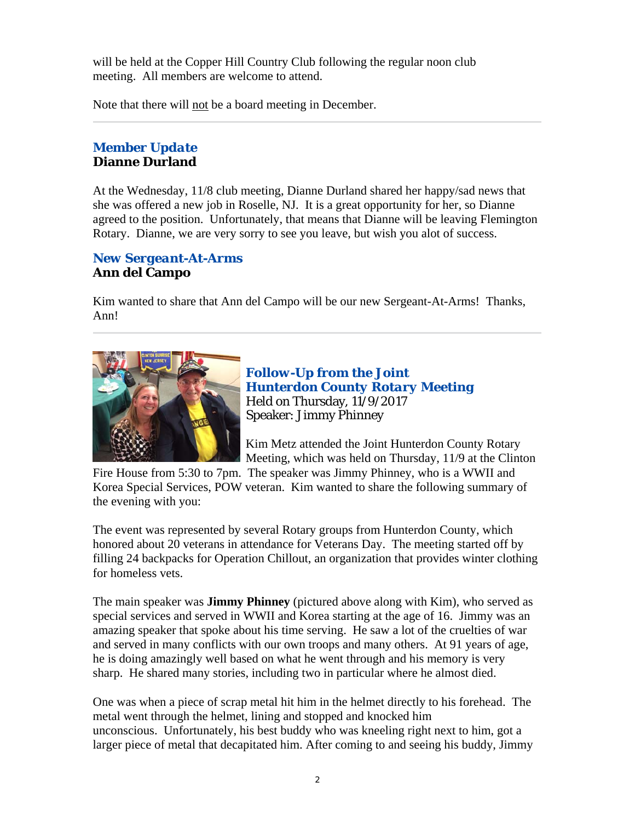will be held at the Copper Hill Country Club following the regular noon club meeting. All members are welcome to attend.

Note that there will not be a board meeting in December.

# *Member Update* **Dianne Durland**

At the Wednesday, 11/8 club meeting, Dianne Durland shared her happy/sad news that she was offered a new job in Roselle, NJ. It is a great opportunity for her, so Dianne agreed to the position. Unfortunately, that means that Dianne will be leaving Flemington Rotary. Dianne, we are very sorry to see you leave, but wish you alot of success.

# *New Sergeant-At-Arms* **Ann del Campo**

Kim wanted to share that Ann del Campo will be our new Sergeant-At-Arms! Thanks, Ann!



*Follow-Up from the Joint Hunterdon County Rotary Meeting* Held on Thursday, 11/9/2017 Speaker: Jimmy Phinney

Kim Metz attended the Joint Hunterdon County Rotary Meeting, which was held on Thursday, 11/9 at the Clinton

Fire House from 5:30 to 7pm. The speaker was Jimmy Phinney, who is a WWII and Korea Special Services, POW veteran. Kim wanted to share the following summary of the evening with you:

The event was represented by several Rotary groups from Hunterdon County, which honored about 20 veterans in attendance for Veterans Day. The meeting started off by filling 24 backpacks for Operation Chillout, an organization that provides winter clothing for homeless vets.

The main speaker was **Jimmy Phinney** (pictured above along with Kim), who served as special services and served in WWII and Korea starting at the age of 16. Jimmy was an amazing speaker that spoke about his time serving. He saw a lot of the cruelties of war and served in many conflicts with our own troops and many others. At 91 years of age, he is doing amazingly well based on what he went through and his memory is very sharp. He shared many stories, including two in particular where he almost died.

One was when a piece of scrap metal hit him in the helmet directly to his forehead. The metal went through the helmet, lining and stopped and knocked him unconscious. Unfortunately, his best buddy who was kneeling right next to him, got a larger piece of metal that decapitated him. After coming to and seeing his buddy, Jimmy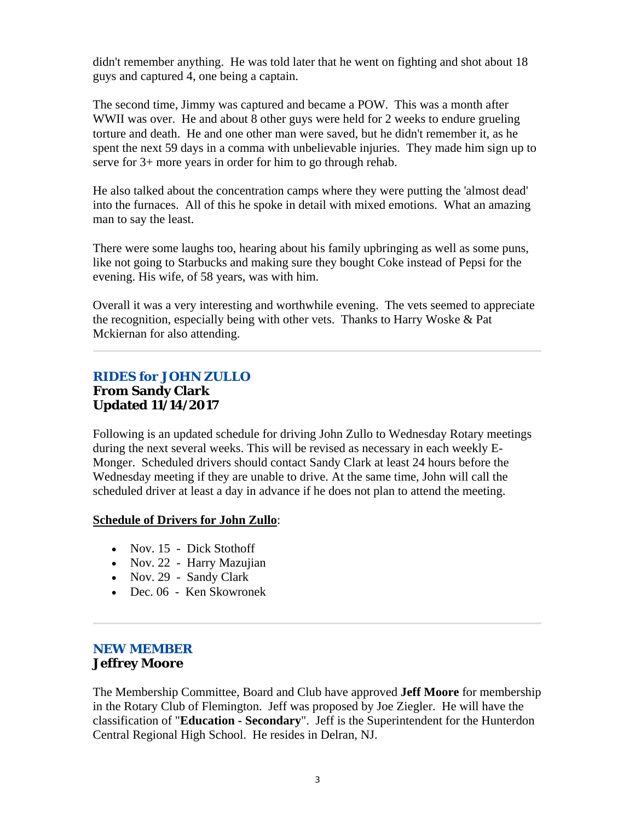didn't remember anything. He was told later that he went on fighting and shot about 18 guys and captured 4, one being a captain.

The second time, Jimmy was captured and became a POW. This was a month after WWII was over. He and about 8 other guys were held for 2 weeks to endure grueling torture and death. He and one other man were saved, but he didn't remember it, as he spent the next 59 days in a comma with unbelievable injuries. They made him sign up to serve for 3+ more years in order for him to go through rehab.

He also talked about the concentration camps where they were putting the 'almost dead' into the furnaces. All of this he spoke in detail with mixed emotions. What an amazing man to say the least.

There were some laughs too, hearing about his family upbringing as well as some puns, like not going to Starbucks and making sure they bought Coke instead of Pepsi for the evening. His wife, of 58 years, was with him.

Overall it was a very interesting and worthwhile evening. The vets seemed to appreciate the recognition, especially being with other vets. Thanks to Harry Woske & Pat Mckiernan for also attending.

# *RIDES for JOHN ZULLO* **From Sandy Clark Updated 11/14/2017**

Following is an updated schedule for driving John Zullo to Wednesday Rotary meetings during the next several weeks. This will be revised as necessary in each weekly E-Monger. Scheduled drivers should contact Sandy Clark at least 24 hours before the Wednesday meeting if they are unable to drive. At the same time, John will call the scheduled driver at least a day in advance if he does not plan to attend the meeting.

### **Schedule of Drivers for John Zullo**:

- Nov. 15 Dick Stothoff
- Nov. 22 Harry Mazujian
- Nov. 29 Sandy Clark
- Dec. 06 Ken Skowronek

### *NEW MEMBER* **Jeffrey Moore**

The Membership Committee, Board and Club have approved **Jeff Moore** for membership in the Rotary Club of Flemington. Jeff was proposed by Joe Ziegler. He will have the classification of "**Education - Secondary**". Jeff is the Superintendent for the Hunterdon Central Regional High School. He resides in Delran, NJ.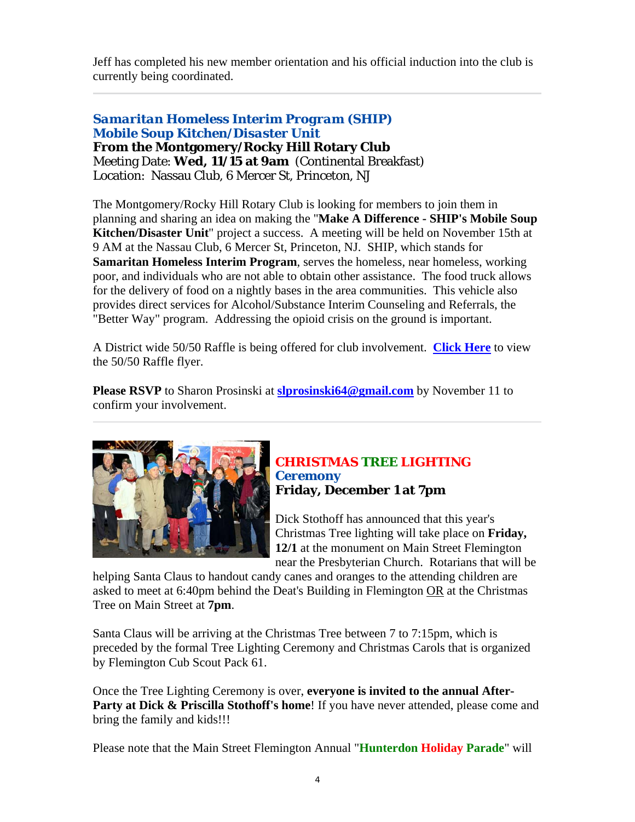Jeff has completed his new member orientation and his official induction into the club is currently being coordinated.

### *Samaritan Homeless Interim Program (SHIP) Mobile Soup Kitchen/Disaster Unit* **From the Montgomery/Rocky Hill Rotary Club** Meeting Date: **Wed, 11/15 at 9am** (Continental Breakfast) Location: Nassau Club, 6 Mercer St, Princeton, NJ

The Montgomery/Rocky Hill Rotary Club is looking for members to join them in planning and sharing an idea on making the "**Make A Difference - SHIP's Mobile Soup Kitchen/Disaster Unit**" project a success. A meeting will be held on November 15th at 9 AM at the Nassau Club, 6 Mercer St, Princeton, NJ. SHIP, which stands for **Samaritan Homeless Interim Program**, serves the homeless, near homeless, working poor, and individuals who are not able to obtain other assistance. The food truck allows for the delivery of food on a nightly bases in the area communities. This vehicle also provides direct services for Alcohol/Substance Interim Counseling and Referrals, the "Better Way" program. Addressing the opioid crisis on the ground is important.

A District wide 50/50 Raffle is being offered for club involvement. **Click Here** to view the 50/50 Raffle flyer.

**Please RSVP** to Sharon Prosinski at **slprosinski64@gmail.com** by November 11 to confirm your involvement.



### *CHRISTMAS TREE LIGHTING Ceremony* **Friday, December 1 at 7pm**

Dick Stothoff has announced that this year's Christmas Tree lighting will take place on **Friday, 12/1** at the monument on Main Street Flemington near the Presbyterian Church. Rotarians that will be

helping Santa Claus to handout candy canes and oranges to the attending children are asked to meet at 6:40pm behind the Deat's Building in Flemington OR at the Christmas Tree on Main Street at **7pm**.

Santa Claus will be arriving at the Christmas Tree between 7 to 7:15pm, which is preceded by the formal Tree Lighting Ceremony and Christmas Carols that is organized by Flemington Cub Scout Pack 61.

Once the Tree Lighting Ceremony is over, **everyone is invited to the annual After-**Party at Dick & Priscilla Stothoff's home! If you have never attended, please come and bring the family and kids!!!

Please note that the Main Street Flemington Annual "**Hunterdon Holiday Parade**" will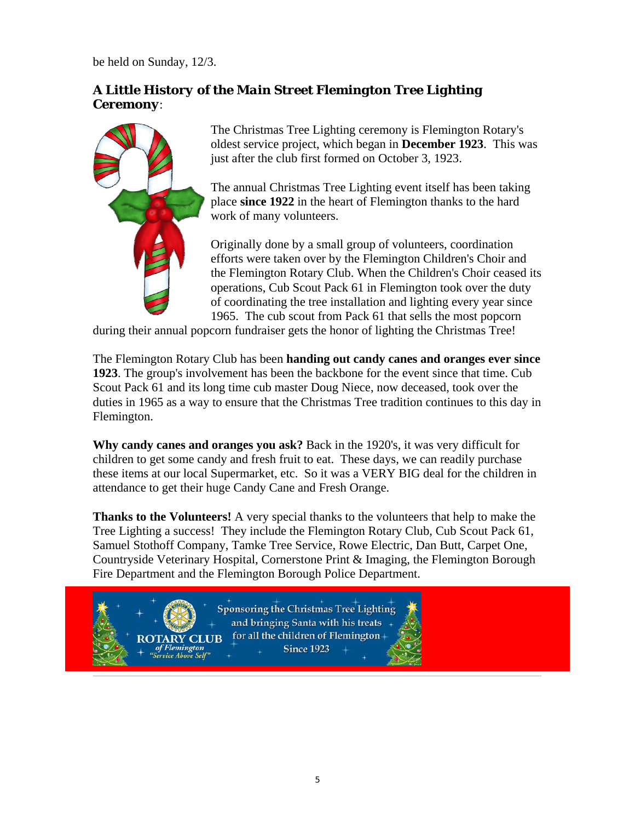be held on Sunday, 12/3.

# *A Little History of the Main Street Flemington Tree Lighting Ceremony*:



**of Flemington**<br>Service Above Self'

The Christmas Tree Lighting ceremony is Flemington Rotary's oldest service project, which began in **December 1923**. This was just after the club first formed on October 3, 1923.

The annual Christmas Tree Lighting event itself has been taking place **since 1922** in the heart of Flemington thanks to the hard work of many volunteers.

Originally done by a small group of volunteers, coordination efforts were taken over by the Flemington Children's Choir and the Flemington Rotary Club. When the Children's Choir ceased its operations, Cub Scout Pack 61 in Flemington took over the duty of coordinating the tree installation and lighting every year since 1965. The cub scout from Pack 61 that sells the most popcorn

during their annual popcorn fundraiser gets the honor of lighting the Christmas Tree!

The Flemington Rotary Club has been **handing out candy canes and oranges ever since 1923**. The group's involvement has been the backbone for the event since that time. Cub Scout Pack 61 and its long time cub master Doug Niece, now deceased, took over the duties in 1965 as a way to ensure that the Christmas Tree tradition continues to this day in Flemington.

**Why candy canes and oranges you ask?** Back in the 1920's, it was very difficult for children to get some candy and fresh fruit to eat. These days, we can readily purchase these items at our local Supermarket, etc. So it was a VERY BIG deal for the children in attendance to get their huge Candy Cane and Fresh Orange.

**Thanks to the Volunteers!** A very special thanks to the volunteers that help to make the Tree Lighting a success! They include the Flemington Rotary Club, Cub Scout Pack 61, Samuel Stothoff Company, Tamke Tree Service, Rowe Electric, Dan Butt, Carpet One, Countryside Veterinary Hospital, Cornerstone Print & Imaging, the Flemington Borough Fire Department and the Flemington Borough Police Department.

**Sponsoring the Christmas Tree Lighting** and bringing Santa with his treats for all the children of Flemington+ **ROTARY CLUB Since 1923**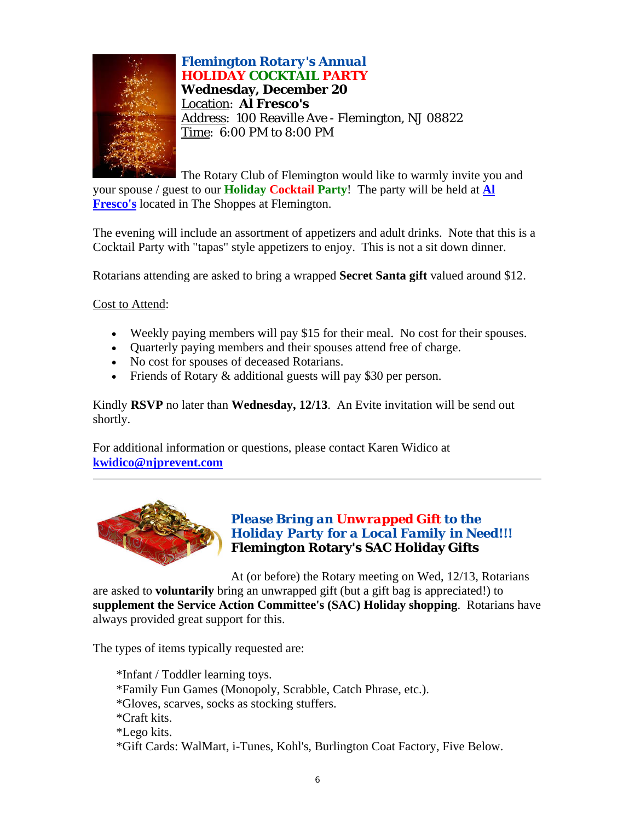

*Flemington Rotary's Annual HOLIDAY COCKTAIL PARTY* **Wednesday, December 20** Location: **Al Fresco's** Address: 100 Reaville Ave - Flemington, NJ 08822 Time: 6:00 PM to 8:00 PM

The Rotary Club of Flemington would like to warmly invite you and your spouse / guest to our **Holiday Cocktail Party**! The party will be held at **Al Fresco's** located in The Shoppes at Flemington.

The evening will include an assortment of appetizers and adult drinks. Note that this is a Cocktail Party with "tapas" style appetizers to enjoy. This is not a sit down dinner.

Rotarians attending are asked to bring a wrapped **Secret Santa gift** valued around \$12.

Cost to Attend:

- Weekly paying members will pay \$15 for their meal. No cost for their spouses.
- Quarterly paying members and their spouses attend free of charge.
- No cost for spouses of deceased Rotarians.
- Friends of Rotary & additional guests will pay \$30 per person.

Kindly **RSVP** no later than **Wednesday, 12/13**. An Evite invitation will be send out shortly.

For additional information or questions, please contact Karen Widico at **kwidico@njprevent.com**



### *Please Bring an Unwrapped Gift to the Holiday Party for a Local Family in Need!!!* **Flemington Rotary's SAC Holiday Gifts**

At (or before) the Rotary meeting on Wed, 12/13, Rotarians are asked to **voluntarily** bring an unwrapped gift (but a gift bag is appreciated!) to **supplement the Service Action Committee's (SAC) Holiday shopping**. Rotarians have always provided great support for this.

The types of items typically requested are:

\*Infant / Toddler learning toys. \*Family Fun Games (Monopoly, Scrabble, Catch Phrase, etc.). \*Gloves, scarves, socks as stocking stuffers. \*Craft kits. \*Lego kits. \*Gift Cards: WalMart, i-Tunes, Kohl's, Burlington Coat Factory, Five Below.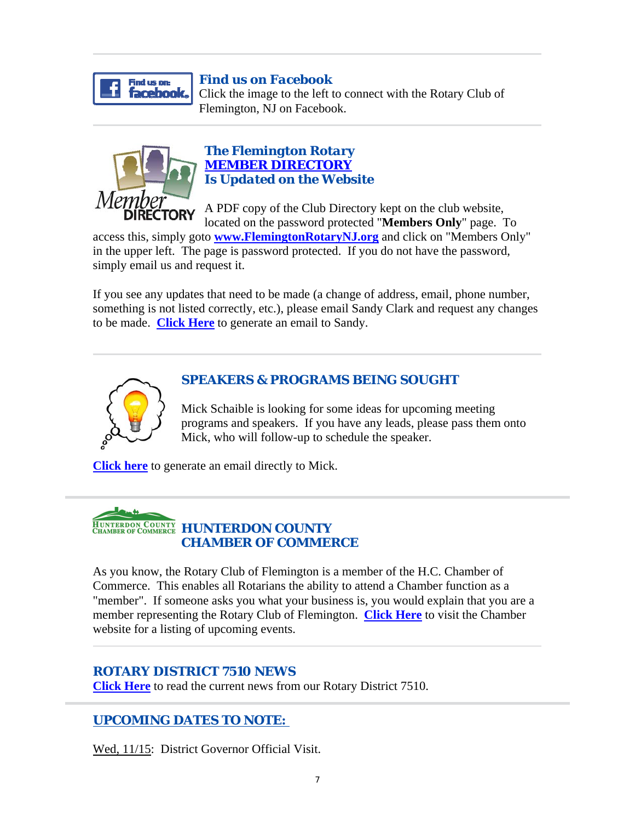

### *Find us on Facebook*

Click the image to the left to connect with the Rotary Club of Flemington, NJ on Facebook.



### *The Flemington Rotary MEMBER DIRECTORY Is Updated on the Website*

A PDF copy of the Club Directory kept on the club website, located on the password protected "**Members Only**" page. To

access this, simply goto **www.FlemingtonRotaryNJ.org** and click on "Members Only" in the upper left. The page is password protected. If you do not have the password, simply email us and request it.

If you see any updates that need to be made (a change of address, email, phone number, something is not listed correctly, etc.), please email Sandy Clark and request any changes to be made. **Click Here** to generate an email to Sandy.



# *SPEAKERS & PROGRAMS BEING SOUGHT*

Mick Schaible is looking for some ideas for upcoming meeting programs and speakers. If you have any leads, please pass them onto Mick, who will follow-up to schedule the speaker.

**Click here** to generate an email directly to Mick.



As you know, the Rotary Club of Flemington is a member of the H.C. Chamber of Commerce. This enables all Rotarians the ability to attend a Chamber function as a "member". If someone asks you what your business is, you would explain that you are a member representing the Rotary Club of Flemington. **Click Here** to visit the Chamber website for a listing of upcoming events.

# *ROTARY DISTRICT 7510 NEWS*

**Click Here** to read the current news from our Rotary District 7510.

# *UPCOMING DATES TO NOTE:*

Wed, 11/15: District Governor Official Visit.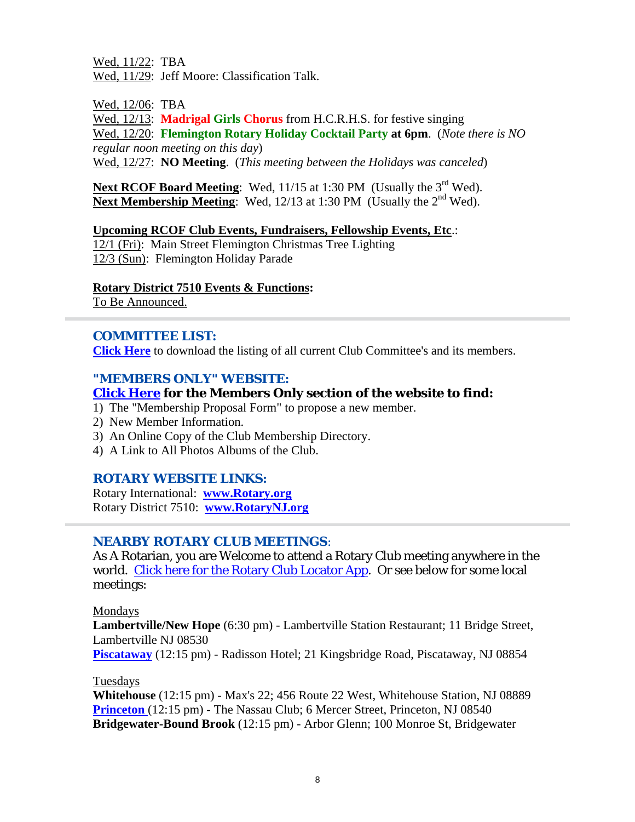Wed, 11/22: TBA Wed, 11/29: Jeff Moore: Classification Talk.

Wed, 12/06: TBA

Wed, 12/13: **Madrigal Girls Chorus** from H.C.R.H.S. for festive singing Wed, 12/20: **Flemington Rotary Holiday Cocktail Party at 6pm**. (*Note there is NO regular noon meeting on this day*) Wed, 12/27: **NO Meeting**. (*This meeting between the Holidays was canceled*)

Next RCOF Board Meeting: Wed, 11/15 at 1:30 PM (Usually the 3<sup>rd</sup> Wed). **Next Membership Meeting**: Wed, 12/13 at 1:30 PM (Usually the 2<sup>nd</sup> Wed).

**Upcoming RCOF Club Events, Fundraisers, Fellowship Events, Etc**.:

12/1 (Fri): Main Street Flemington Christmas Tree Lighting 12/3 (Sun): Flemington Holiday Parade

### **Rotary District 7510 Events & Functions:**

To Be Announced.

# *COMMITTEE LIST:*

**Click Here** to download the listing of all current Club Committee's and its members.

### *"MEMBERS ONLY" WEBSITE:*

### **Click Here for the Members Only section of the website to find:**

- 1) The "Membership Proposal Form" to propose a new member.
- 2) New Member Information.
- 3) An Online Copy of the Club Membership Directory.
- 4) A Link to All Photos Albums of the Club.

### *ROTARY WEBSITE LINKS:*

Rotary International: **www.Rotary.org** Rotary District 7510: **www.RotaryNJ.org**

### *NEARBY ROTARY CLUB MEETINGS:*

As A Rotarian, you are Welcome to attend a Rotary Club meeting anywhere in the world. Click here for the Rotary Club Locator App. Or see below for some local meetings:

#### Mondays

**Lambertville/New Hope** (6:30 pm) - Lambertville Station Restaurant; 11 Bridge Street, Lambertville NJ 08530 **Piscataway** (12:15 pm) - Radisson Hotel; 21 Kingsbridge Road, Piscataway, NJ 08854

#### Tuesdays

**Whitehouse** (12:15 pm) - Max's 22; 456 Route 22 West, Whitehouse Station, NJ 08889 **Princeton** (12:15 pm) - The Nassau Club; 6 Mercer Street, Princeton, NJ 08540 **Bridgewater-Bound Brook** (12:15 pm) - Arbor Glenn; 100 Monroe St, Bridgewater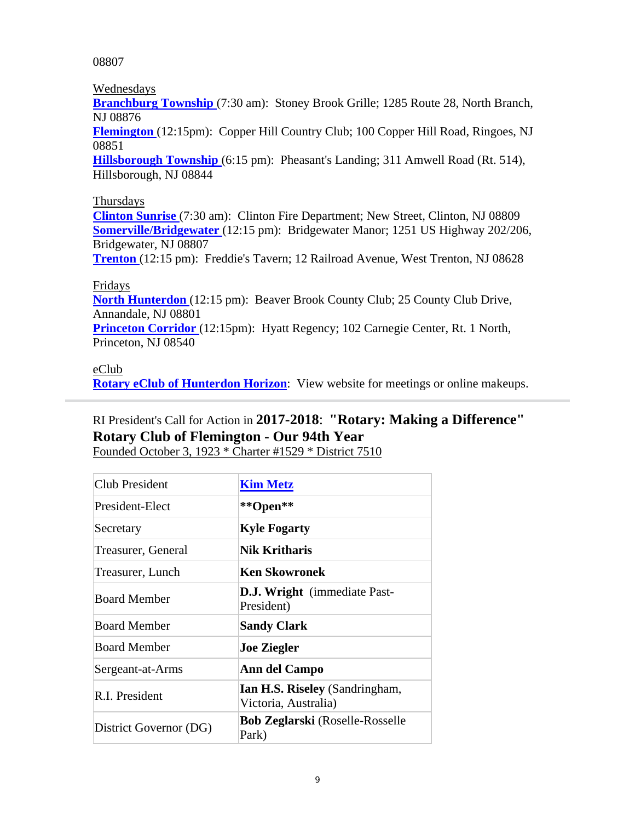08807

Wednesdays

**Branchburg Township** (7:30 am): Stoney Brook Grille; 1285 Route 28, North Branch, NJ 08876

**Flemington** (12:15pm): Copper Hill Country Club; 100 Copper Hill Road, Ringoes, NJ 08851

**Hillsborough Township** (6:15 pm): Pheasant's Landing; 311 Amwell Road (Rt. 514), Hillsborough, NJ 08844

# Thursdays

**Clinton Sunrise** (7:30 am): Clinton Fire Department; New Street, Clinton, NJ 08809 **Somerville/Bridgewater** (12:15 pm): Bridgewater Manor; 1251 US Highway 202/206, Bridgewater, NJ 08807

**Trenton** (12:15 pm): Freddie's Tavern; 12 Railroad Avenue, West Trenton, NJ 08628

# Fridays

**North Hunterdon** (12:15 pm): Beaver Brook County Club; 25 County Club Drive, Annandale, NJ 08801

**Princeton Corridor** (12:15pm): Hyatt Regency; 102 Carnegie Center, Rt. 1 North, Princeton, NJ 08540

### eClub

**Rotary eClub of Hunterdon Horizon:** View website for meetings or online makeups.

# RI President's Call for Action in **2017-2018**: **"Rotary: Making a Difference" Rotary Club of Flemington - Our 94th Year**

Founded October 3, 1923 \* Charter #1529 \* District 7510

| Club President         | <b>Kim Metz</b>                                        |  |
|------------------------|--------------------------------------------------------|--|
| President-Elect        | **Open**                                               |  |
| Secretary              | <b>Kyle Fogarty</b>                                    |  |
| Treasurer, General     | Nik Kritharis                                          |  |
| Treasurer, Lunch       | Ken Skowronek                                          |  |
| <b>Board Member</b>    | <b>D.J. Wright</b> (immediate Past-<br>President)      |  |
| <b>Board Member</b>    | <b>Sandy Clark</b>                                     |  |
| <b>Board Member</b>    | <b>Joe Ziegler</b>                                     |  |
| Sergeant-at-Arms       | Ann del Campo                                          |  |
| R.I. President         | Ian H.S. Riseley (Sandringham,<br>Victoria, Australia) |  |
| District Governor (DG) | <b>Bob Zeglarski</b> (Roselle-Rosselle<br>Park)        |  |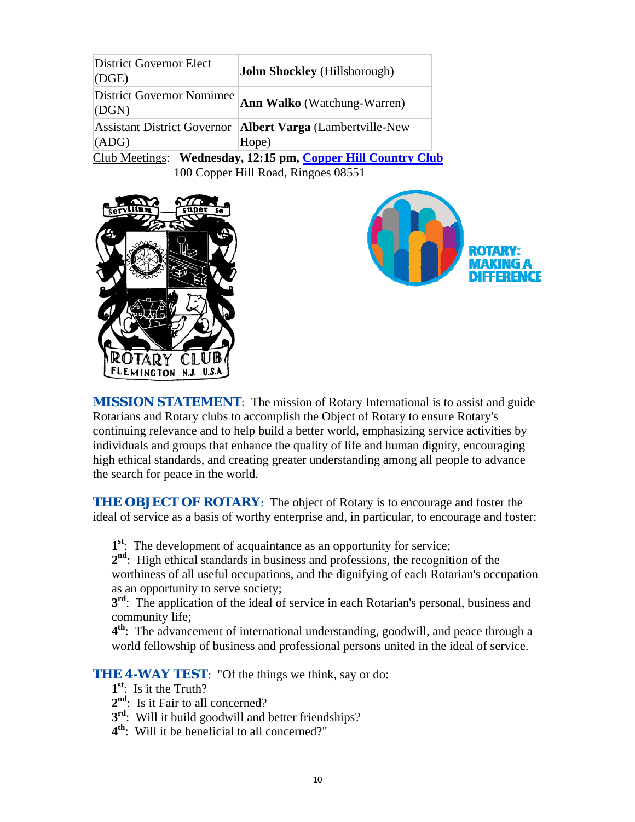| <b>District Governor Elect</b><br>(DGE)                      | <b>John Shockley</b> (Hillsborough)                                   |  |  |  |
|--------------------------------------------------------------|-----------------------------------------------------------------------|--|--|--|
| <b>District Governor Nomimee</b><br>(DGN)                    | <b>Ann Walko</b> (Watchung-Warren)                                    |  |  |  |
| (ADG)                                                        | Assistant District Governor   Albert Varga (Lambertville-New<br>Hope) |  |  |  |
| Club Meetings: Wednesday, 12:15 pm, Copper Hill Country Club |                                                                       |  |  |  |
| 100 Copper Hill Road, Ringoes 08551                          |                                                                       |  |  |  |





*MISSION STATEMENT*: The mission of Rotary International is to assist and guide Rotarians and Rotary clubs to accomplish the Object of Rotary to ensure Rotary's continuing relevance and to help build a better world, emphasizing service activities by individuals and groups that enhance the quality of life and human dignity, encouraging high ethical standards, and creating greater understanding among all people to advance the search for peace in the world.

**THE OBJECT OF ROTARY:** The object of Rotary is to encourage and foster the ideal of service as a basis of worthy enterprise and, in particular, to encourage and foster:

**1st**: The development of acquaintance as an opportunity for service;

**2nd**: High ethical standards in business and professions, the recognition of the worthiness of all useful occupations, and the dignifying of each Rotarian's occupation as an opportunity to serve society;

**3<sup>rd</sup>:** The application of the ideal of service in each Rotarian's personal, business and community life;

**4th**: The advancement of international understanding, goodwill, and peace through a world fellowship of business and professional persons united in the ideal of service.

**THE 4-WAY TEST:** "Of the things we think, say or do:

- **1st**: Is it the Truth?
- 2<sup>nd</sup>: Is it Fair to all concerned?
- **3<sup>rd</sup>:** Will it build goodwill and better friendships?
- **4th**: Will it be beneficial to all concerned?"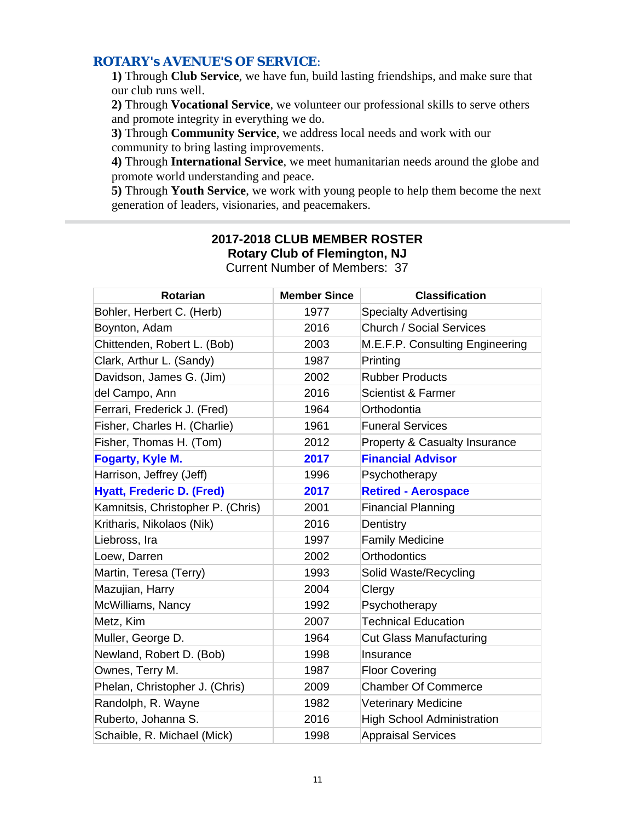### *ROTARY's AVENUE'S OF SERVICE*:

**1)** Through **Club Service**, we have fun, build lasting friendships, and make sure that our club runs well.

**2)** Through **Vocational Service**, we volunteer our professional skills to serve others and promote integrity in everything we do.

**3)** Through **Community Service**, we address local needs and work with our community to bring lasting improvements.

**4)** Through **International Service**, we meet humanitarian needs around the globe and promote world understanding and peace.

**5)** Through **Youth Service**, we work with young people to help them become the next generation of leaders, visionaries, and peacemakers.

# **2017-2018 CLUB MEMBER ROSTER Rotary Club of Flemington, NJ**

| Rotarian                          | <b>Member Since</b> | <b>Classification</b>             |
|-----------------------------------|---------------------|-----------------------------------|
| Bohler, Herbert C. (Herb)         | 1977                | <b>Specialty Advertising</b>      |
| Boynton, Adam                     | 2016                | <b>Church / Social Services</b>   |
| Chittenden, Robert L. (Bob)       | 2003                | M.E.F.P. Consulting Engineering   |
| Clark, Arthur L. (Sandy)          | 1987                | Printing                          |
| Davidson, James G. (Jim)          | 2002                | <b>Rubber Products</b>            |
| del Campo, Ann                    | 2016                | Scientist & Farmer                |
| Ferrari, Frederick J. (Fred)      | 1964                | Orthodontia                       |
| Fisher, Charles H. (Charlie)      | 1961                | <b>Funeral Services</b>           |
| Fisher, Thomas H. (Tom)           | 2012                | Property & Casualty Insurance     |
| <b>Fogarty, Kyle M.</b>           | 2017                | <b>Financial Advisor</b>          |
| Harrison, Jeffrey (Jeff)          | 1996                | Psychotherapy                     |
| <b>Hyatt, Frederic D. (Fred)</b>  | 2017                | <b>Retired - Aerospace</b>        |
| Kamnitsis, Christopher P. (Chris) | 2001                | <b>Financial Planning</b>         |
| Kritharis, Nikolaos (Nik)         | 2016                | Dentistry                         |
| Liebross, Ira                     | 1997                | <b>Family Medicine</b>            |
| Loew, Darren                      | 2002                | <b>Orthodontics</b>               |
| Martin, Teresa (Terry)            | 1993                | Solid Waste/Recycling             |
| Mazujian, Harry                   | 2004                | Clergy                            |
| McWilliams, Nancy                 | 1992                | Psychotherapy                     |
| Metz, Kim                         | 2007                | <b>Technical Education</b>        |
| Muller, George D.                 | 1964                | <b>Cut Glass Manufacturing</b>    |
| Newland, Robert D. (Bob)          | 1998                | Insurance                         |
| Ownes, Terry M.                   | 1987                | <b>Floor Covering</b>             |
| Phelan, Christopher J. (Chris)    | 2009                | <b>Chamber Of Commerce</b>        |
| Randolph, R. Wayne                | 1982                | <b>Veterinary Medicine</b>        |
| Ruberto, Johanna S.               | 2016                | <b>High School Administration</b> |
| Schaible, R. Michael (Mick)       | 1998                | <b>Appraisal Services</b>         |

Current Number of Members: 37